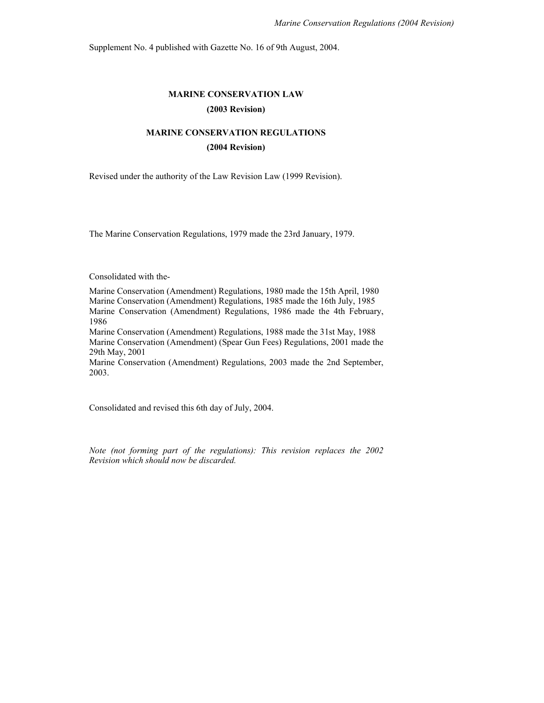Supplement No. 4 published with Gazette No. 16 of 9th August, 2004.

## **MARINE CONSERVATION LAW (2003 Revision)**

## **MARINE CONSERVATION REGULATIONS (2004 Revision)**

Revised under the authority of the Law Revision Law (1999 Revision).

The Marine Conservation Regulations, 1979 made the 23rd January, 1979.

Consolidated with the-

Marine Conservation (Amendment) Regulations, 1980 made the 15th April, 1980 Marine Conservation (Amendment) Regulations, 1985 made the 16th July, 1985 Marine Conservation (Amendment) Regulations, 1986 made the 4th February, 1986 Marine Conservation (Amendment) Regulations, 1988 made the 31st May, 1988 Marine Conservation (Amendment) (Spear Gun Fees) Regulations, 2001 made the

29th May, 2001 Marine Conservation (Amendment) Regulations, 2003 made the 2nd September, 2003.

Consolidated and revised this 6th day of July, 2004.

*Note (not forming part of the regulations): This revision replaces the 2002 Revision which should now be discarded.*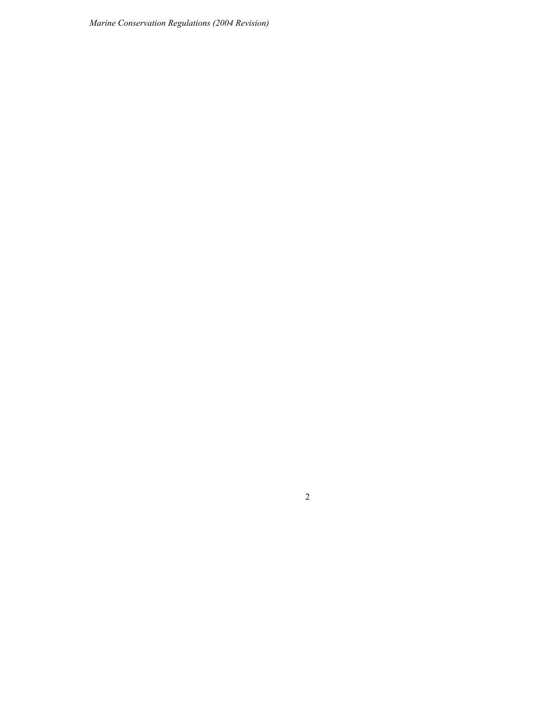*Marine Conservation Regulations (2004 Revision)*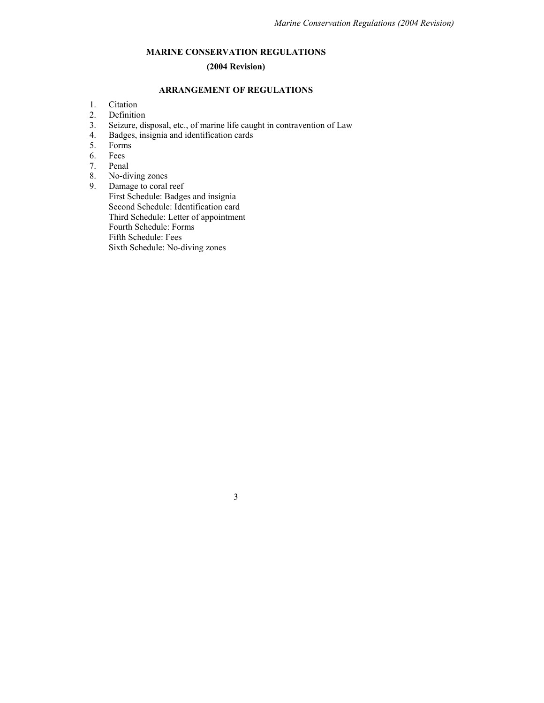## **MARINE CONSERVATION REGULATIONS**

### **(2004 Revision)**

## **ARRANGEMENT OF REGULATIONS**

- 1. Citation
- 2. Definition
- 3. Seizure, disposal, etc., of marine life caught in contravention of Law
- 4. Badges, insignia and identification cards
- 5. Forms
- 6. Fees
- 7. Penal
- 8. No-diving zones
- 9. Damage to coral reef First Schedule: Badges and insignia Second Schedule: Identification card Third Schedule: Letter of appointment Fourth Schedule: Forms Fifth Schedule: Fees Sixth Schedule: No-diving zones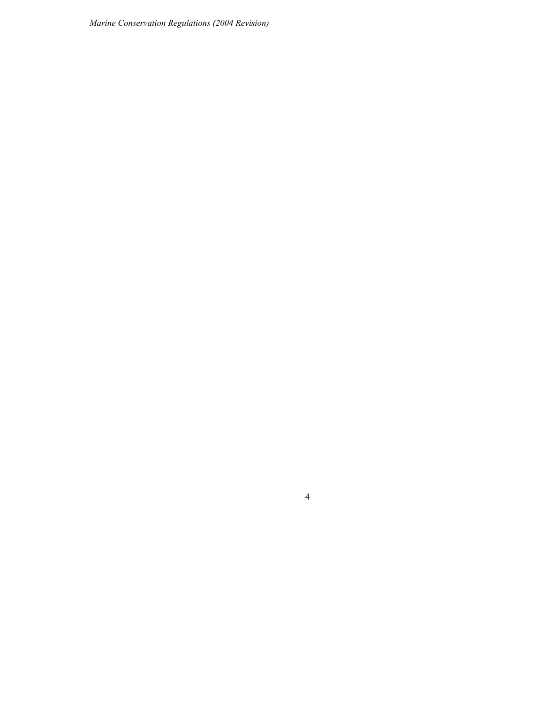*Marine Conservation Regulations (2004 Revision)*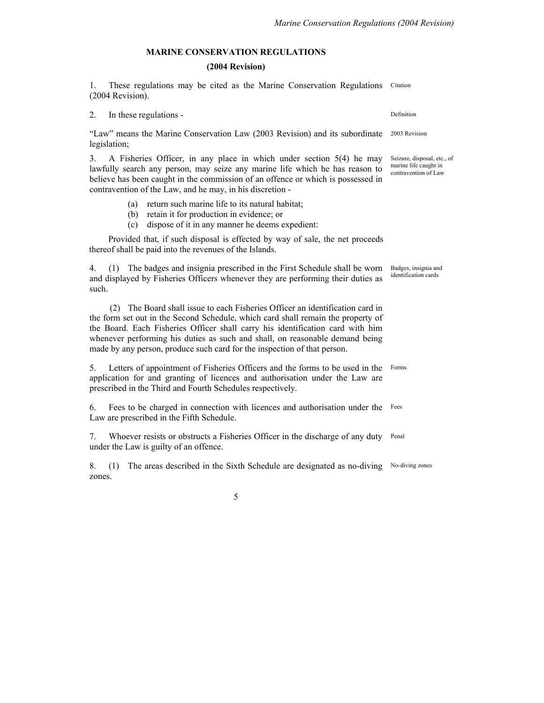#### **MARINE CONSERVATION REGULATIONS**

### **(2004 Revision)**

1. These regulations may be cited as the Marine Conservation Regulations Citation (2004 Revision).

2. In these regulations - Definition

"Law" means the Marine Conservation Law (2003 Revision) and its subordinate legislation;

3. A Fisheries Officer, in any place in which under section 5(4) he may lawfully search any person, may seize any marine life which he has reason to believe has been caught in the commission of an offence or which is possessed in contravention of the Law, and he may, in his discretion -

- (a) return such marine life to its natural habitat;
- (b) retain it for production in evidence; or
- (c) dispose of it in any manner he deems expedient:

Provided that, if such disposal is effected by way of sale, the net proceeds thereof shall be paid into the revenues of the Islands.

4. (1) The badges and insignia prescribed in the First Schedule shall be worn and displayed by Fisheries Officers whenever they are performing their duties as such.

(2) The Board shall issue to each Fisheries Officer an identification card in the form set out in the Second Schedule, which card shall remain the property of the Board. Each Fisheries Officer shall carry his identification card with him whenever performing his duties as such and shall, on reasonable demand being made by any person, produce such card for the inspection of that person.

5. Letters of appointment of Fisheries Officers and the forms to be used in the application for and granting of licences and authorisation under the Law are prescribed in the Third and Fourth Schedules respectively. Forms

6. Fees to be charged in connection with licences and authorisation under the Fees Law are prescribed in the Fifth Schedule.

7. Whoever resists or obstructs a Fisheries Officer in the discharge of any duty under the Law is guilty of an offence. Penal

8. (1) The areas described in the Sixth Schedule are designated as no-diving No-diving zones zones.

5

2003 Revision

Seizure, disposal, etc., of marine life caught in contravention of Law

Badges, insignia and identification cards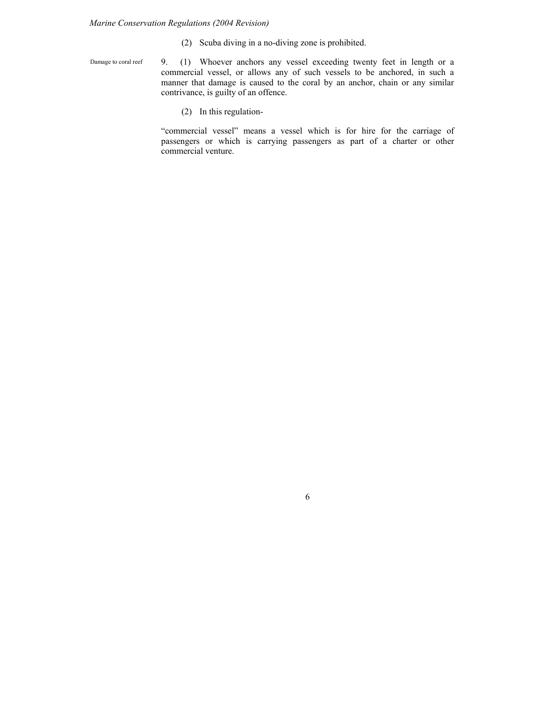(2) Scuba diving in a no-diving zone is prohibited.

Damage to coral reef

9. (1) Whoever anchors any vessel exceeding twenty feet in length or a commercial vessel, or allows any of such vessels to be anchored, in such a manner that damage is caused to the coral by an anchor, chain or any similar contrivance, is guilty of an offence.

(2) In this regulation-

"commercial vessel" means a vessel which is for hire for the carriage of passengers or which is carrying passengers as part of a charter or other commercial venture.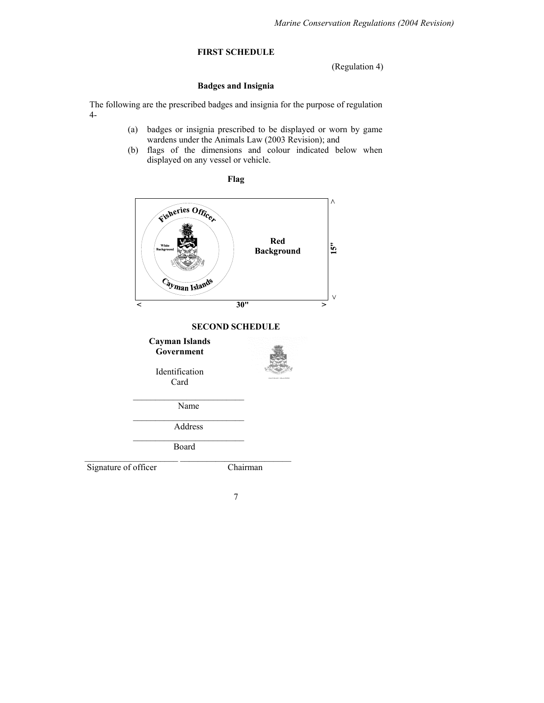### **FIRST SCHEDULE**

(Regulation 4)

### **Badges and Insignia**

The following are the prescribed badges and insignia for the purpose of regulation 4-

- (a) badges or insignia prescribed to be displayed or worn by game wardens under the Animals Law (2003 Revision); and
- (b) flags of the dimensions and colour indicated below when displayed on any vessel or vehicle.

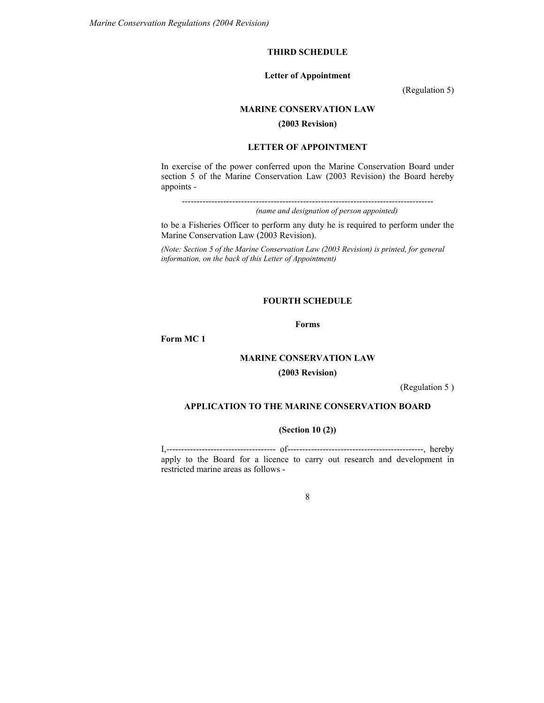### **THIRD SCHEDULE**

#### **Letter of Appointment**

(Regulation 5)

### **MARINE CONSERVATION LAW**

#### **(2003 Revision)**

### **LETTER OF APPOINTMENT**

In exercise of the power conferred upon the Marine Conservation Board under section 5 of the Marine Conservation Law (2003 Revision) the Board hereby appoints -

-------------------------------------------------------------------------------------

*(name and designation of person appointed)*

to be a Fisheries Officer to perform any duty he is required to perform under the Marine Conservation Law (2003 Revision).

*(Note: Section 5 of the Marine Conservation Law (2003 Revision) is printed, for general information, on the back of this Letter of Appointment)*

### **FOURTH SCHEDULE**

#### **Forms**

**Form MC 1** 

## **MARINE CONSERVATION LAW**

#### **(2003 Revision)**

(Regulation 5 )

## **APPLICATION TO THE MARINE CONSERVATION BOARD**

## **(Section 10 (2))**

I,------------------------------------- of----------------------------------------------, hereby apply to the Board for a licence to carry out research and development in restricted marine areas as follows -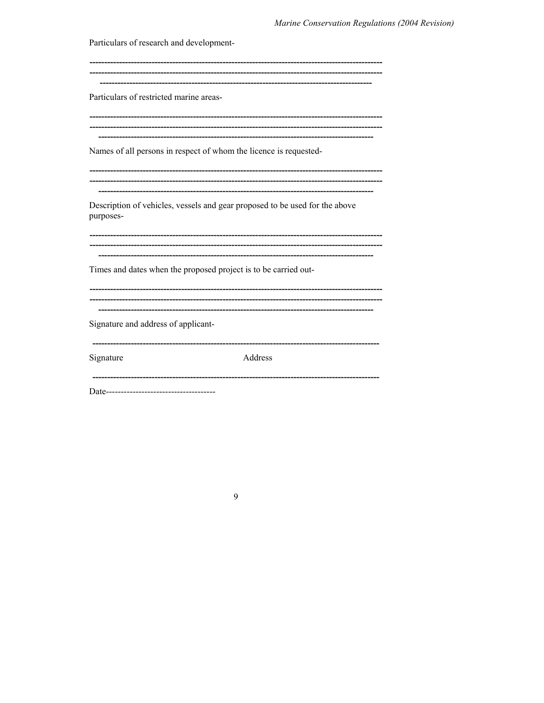| Particulars of research and development-                                                 |  |
|------------------------------------------------------------------------------------------|--|
| Particulars of restricted marine areas-                                                  |  |
| Names of all persons in respect of whom the licence is requested-                        |  |
| Description of vehicles, vessels and gear proposed to be used for the above<br>purposes- |  |
| Times and dates when the proposed project is to be carried out-                          |  |
| Signature and address of applicant-                                                      |  |
| ---------------------------<br>Address<br>Signature                                      |  |
|                                                                                          |  |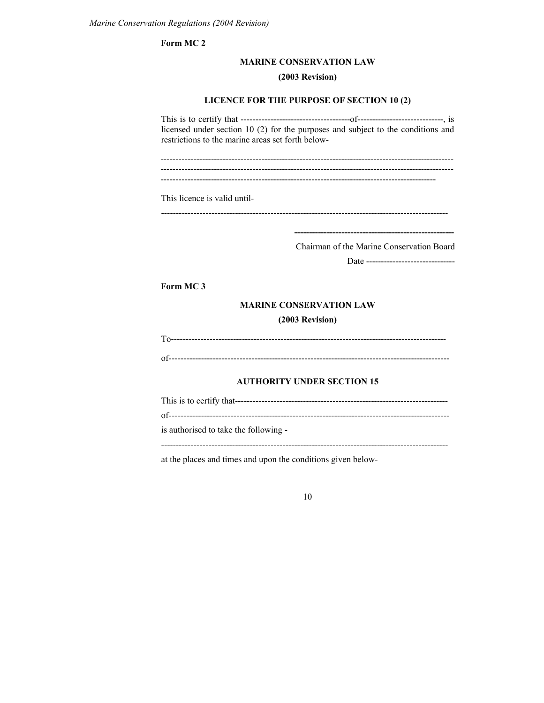### **MARINE CONSERVATION LAW**

### **(2003 Revision)**

### **LICENCE FOR THE PURPOSE OF SECTION 10 (2)**

This is to certify that -------------------------------------of-----------------------------, is licensed under section 10 (2) for the purposes and subject to the conditions and restrictions to the marine areas set forth below-

This licence is valid until-

-------------------------------------------------------------------------------------------------

**------------------------------------------------------** Chairman of the Marine Conservation Board

Date --------------------------------

#### **Form MC 3**

## **MARINE CONSERVATION LAW**

## **(2003 Revision)**

To---------------------------------------------------------------------------------------------

of-----------------------------------------------------------------------------------------------

### **AUTHORITY UNDER SECTION 15**

| is authorised to take the following - |
|---------------------------------------|
|                                       |

at the places and times and upon the conditions given below-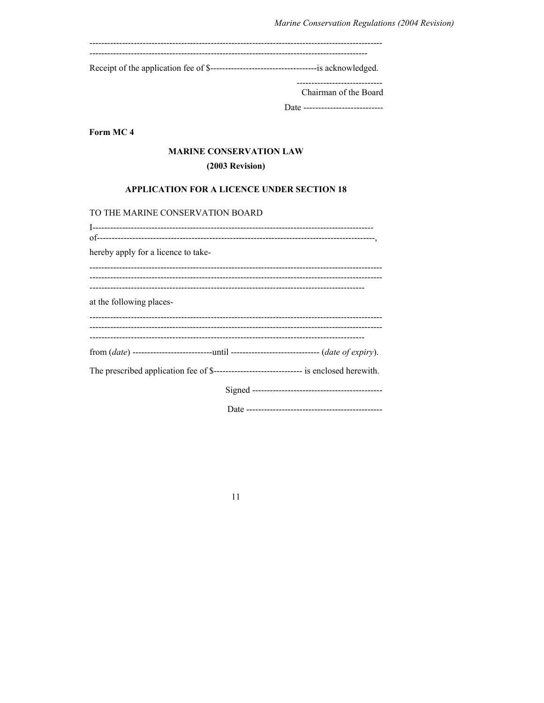Marine Conservation Regulations (2004 Revision)

| ----is acknowledged.  |
|-----------------------|
| Chairman of the Board |

Date ---------------------------

## Form MC 4

# **MARINE CONSERVATION LAW**

## (2003 Revision)

## APPLICATION FOR A LICENCE UNDER SECTION 18

## TO THE MARINE CONSERVATION BOARD

| hereby apply for a licence to take-                                                        |  |
|--------------------------------------------------------------------------------------------|--|
|                                                                                            |  |
|                                                                                            |  |
| at the following places-                                                                   |  |
|                                                                                            |  |
|                                                                                            |  |
| The prescribed application fee of \$-------------------------------- is enclosed herewith. |  |
|                                                                                            |  |
|                                                                                            |  |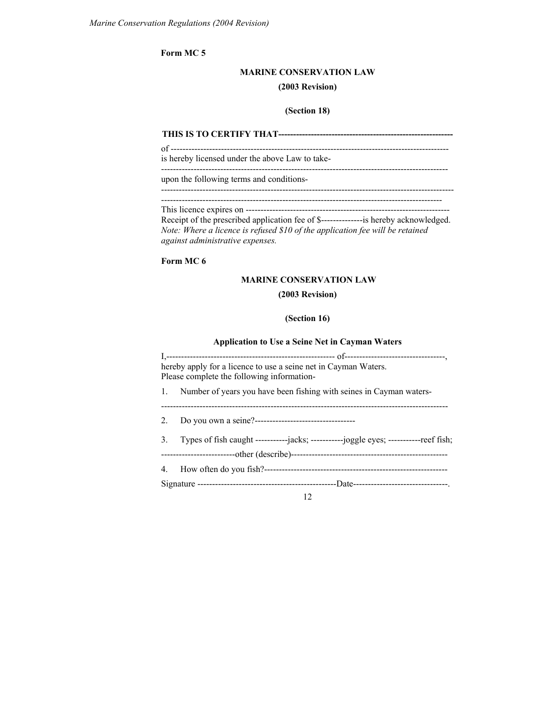### **MARINE CONSERVATION LAW**

## **(2003 Revision)**

## **(Section 18)**

| is hereby licensed under the above Law to take-                                                                                                                                                                |
|----------------------------------------------------------------------------------------------------------------------------------------------------------------------------------------------------------------|
| upon the following terms and conditions-                                                                                                                                                                       |
| Receipt of the prescribed application fee of \$------------------ is hereby acknowledged.<br>Note: Where a licence is refused \$10 of the application fee will be retained<br>against administrative expenses. |

### **Form MC 6**

## **MARINE CONSERVATION LAW**

## **(2003 Revision)**

## **(Section 16)**

## **Application to Use a Seine Net in Cayman Waters**

| hereby apply for a licence to use a seine net in Cayman Waters.<br>Please complete the following information- |
|---------------------------------------------------------------------------------------------------------------|
| 1. Number of years you have been fishing with seines in Cayman waters-                                        |
|                                                                                                               |
| 3. Types of fish caught ------------jacks; -----------joggle eyes; -----------reef fish;                      |
|                                                                                                               |
|                                                                                                               |
|                                                                                                               |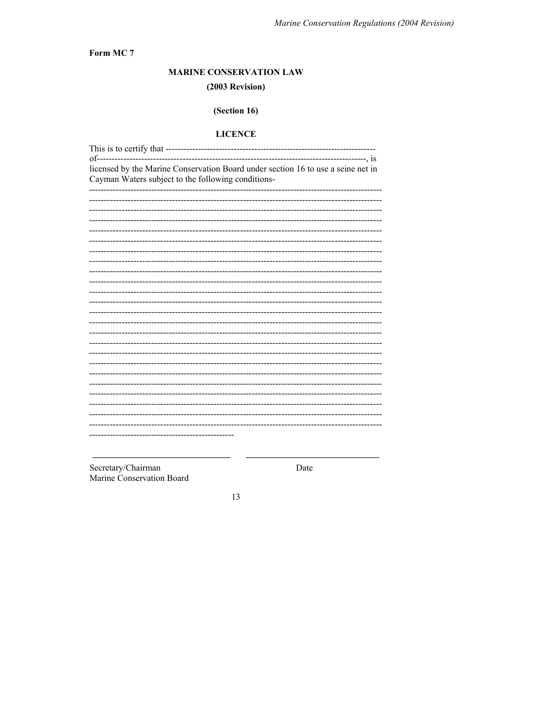Form MC<sub>7</sub>

## MARINE CONSERVATION LAW

## (2003 Revision)

## (Section 16)

## **LICENCE**

| $of$ ------                                                                                                                                                                  |
|------------------------------------------------------------------------------------------------------------------------------------------------------------------------------|
| licensed by the Marine Conservation Board under section 16 to use a seine net in<br>Cayman Waters subject to the following conditions-<br>---------------------------------- |
|                                                                                                                                                                              |
|                                                                                                                                                                              |
|                                                                                                                                                                              |
| --------------------------                                                                                                                                                   |
|                                                                                                                                                                              |
| -----------------------------                                                                                                                                                |
|                                                                                                                                                                              |
| ------------------------------------                                                                                                                                         |
|                                                                                                                                                                              |
| -------------------------------<br>--------------------------------                                                                                                          |
|                                                                                                                                                                              |
| ---------------------------------                                                                                                                                            |
|                                                                                                                                                                              |
|                                                                                                                                                                              |
| ---------------------------                                                                                                                                                  |
| --------------------------------                                                                                                                                             |
|                                                                                                                                                                              |
|                                                                                                                                                                              |
|                                                                                                                                                                              |
|                                                                                                                                                                              |
|                                                                                                                                                                              |
|                                                                                                                                                                              |
|                                                                                                                                                                              |

13

 $\mbox{Secretary/Chairman}$ Marine Conservation Board Date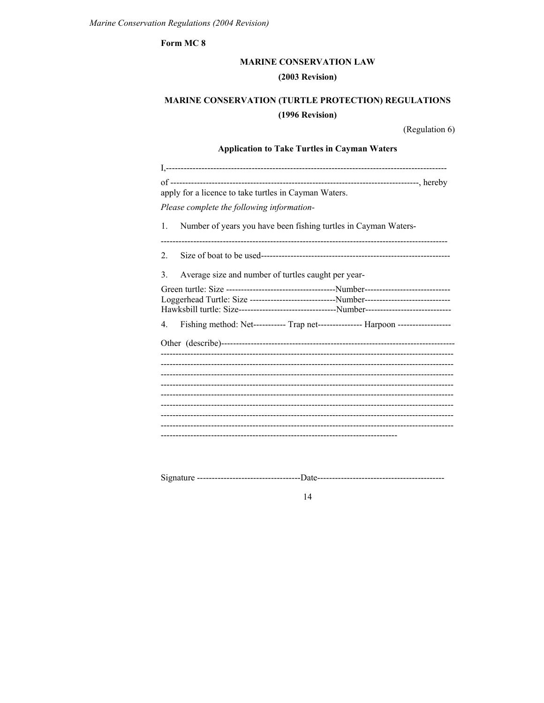## **MARINE CONSERVATION LAW**

### (2003 Revision)

# MARINE CONSERVATION (TURTLE PROTECTION) REGULATIONS (1996 Revision)

(Regulation 6)

## **Application to Take Turtles in Cayman Waters**

|    | apply for a licence to take turtles in Cayman Waters.                                                                                                                                |
|----|--------------------------------------------------------------------------------------------------------------------------------------------------------------------------------------|
|    | Please complete the following information-                                                                                                                                           |
| 1. | Number of years you have been fishing turtles in Cayman Waters-                                                                                                                      |
| 2. |                                                                                                                                                                                      |
| 3. | Average size and number of turtles caught per year-                                                                                                                                  |
|    | Loggerhead Turtle: Size ----------------------------Number----------------------------<br>Hawksbill turtle: Size---------------------------------Number----------------------------- |
| 4. | Fishing method: Net----------- Trap net--------------- Harpoon ------------------                                                                                                    |
|    |                                                                                                                                                                                      |
|    |                                                                                                                                                                                      |
|    |                                                                                                                                                                                      |
|    |                                                                                                                                                                                      |
|    |                                                                                                                                                                                      |
|    |                                                                                                                                                                                      |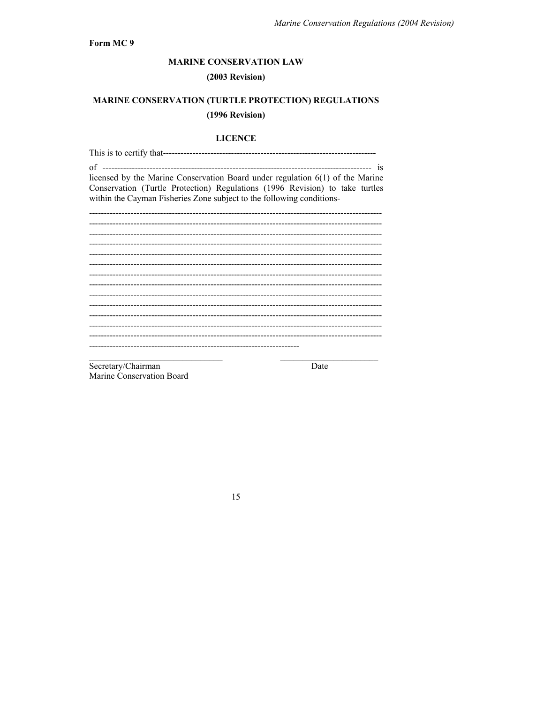### **MARINE CONSERVATION LAW**

### (2003 Revision)

## MARINE CONSERVATION (TURTLE PROTECTION) REGULATIONS (1996 Revision)

### **LICENCE**

licensed by the Marine Conservation Board under regulation 6(1) of the Marine Conservation (Turtle Protection) Regulations (1996 Revision) to take turtles within the Cayman Fisheries Zone subject to the following conditions-

Secretary/Chairman Marine Conservation Board Date

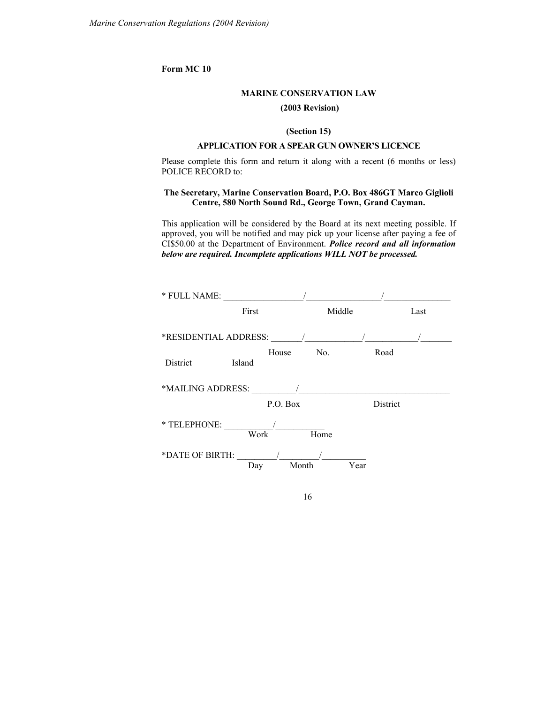## **MARINE CONSERVATION LAW**

### **(2003 Revision)**

### **(Section 15)**

## **APPLICATION FOR A SPEAR GUN OWNER'S LICENCE**

Please complete this form and return it along with a recent (6 months or less) POLICE RECORD to:

### **The Secretary, Marine Conservation Board, P.O. Box 486GT Marco Giglioli Centre, 580 North Sound Rd., George Town, Grand Cayman.**

This application will be considered by the Board at its next meeting possible. If approved, you will be notified and may pick up your license after paying a fee of CI\$50.00 at the Department of Environment. *Police record and all information below are required. Incomplete applications WILL NOT be processed.*

| * FULL NAME:    |                                        |        |          |      |
|-----------------|----------------------------------------|--------|----------|------|
|                 | First                                  | Middle |          | Last |
|                 | *RESIDENTIAL ADDRESS:                  |        |          |      |
| District        | House<br>Island                        | No.    | Road     |      |
|                 | *MAILING ADDRESS: /                    |        |          |      |
|                 | P.O. Box                               |        | District |      |
|                 | $*$ TELEPHONE: $\qquad \qquad$<br>Work | Home   |          |      |
| *DATE OF BIRTH: | Month<br>Day                           | Year   |          |      |
|                 |                                        |        |          |      |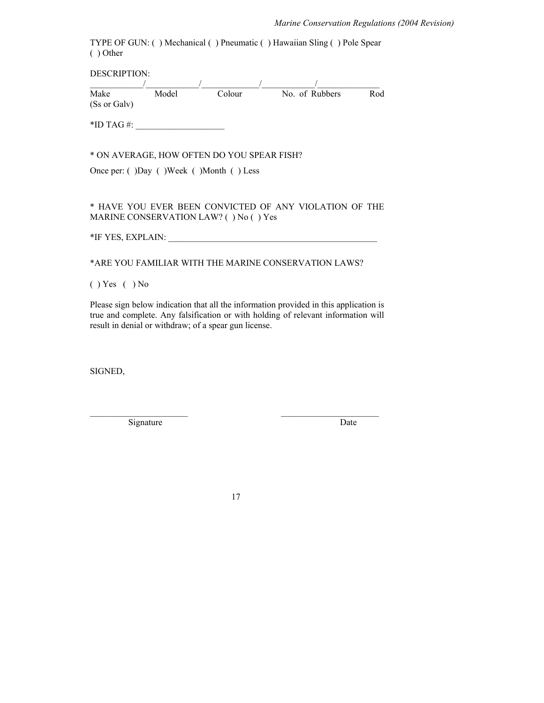TYPE OF GUN: ( ) Mechanical ( ) Pneumatic ( ) Hawaiian Sling ( ) Pole Spear ( ) Other

DESCRIPTION:  $\frac{1}{2}$  ,  $\frac{1}{2}$  ,  $\frac{1}{2}$  ,  $\frac{1}{2}$  ,  $\frac{1}{2}$  ,  $\frac{1}{2}$  ,  $\frac{1}{2}$  ,  $\frac{1}{2}$  ,  $\frac{1}{2}$  ,  $\frac{1}{2}$  ,  $\frac{1}{2}$  ,  $\frac{1}{2}$  ,  $\frac{1}{2}$  ,  $\frac{1}{2}$  ,  $\frac{1}{2}$  ,  $\frac{1}{2}$  ,  $\frac{1}{2}$  ,  $\frac{1}{2}$  ,  $\frac{1$ Make Model Colour No. of Rubbers Rod (Ss or Galv)  $*$ ID TAG #: \* ON AVERAGE, HOW OFTEN DO YOU SPEAR FISH? Once per: ( )Day ( )Week ( )Month ( ) Less

\* HAVE YOU EVER BEEN CONVICTED OF ANY VIOLATION OF THE MARINE CONSERVATION LAW? ( ) No ( ) Yes

\*IF YES, EXPLAIN: \_\_\_\_\_\_\_\_\_\_\_\_\_\_\_\_\_\_\_\_\_\_\_\_\_\_\_\_\_\_\_\_\_\_\_\_\_\_\_\_\_\_\_\_\_\_\_

\*ARE YOU FAMILIAR WITH THE MARINE CONSERVATION LAWS?

( ) Yes ( ) No

Please sign below indication that all the information provided in this application is true and complete. Any falsification or with holding of relevant information will result in denial or withdraw; of a spear gun license.

SIGNED,

Signature Date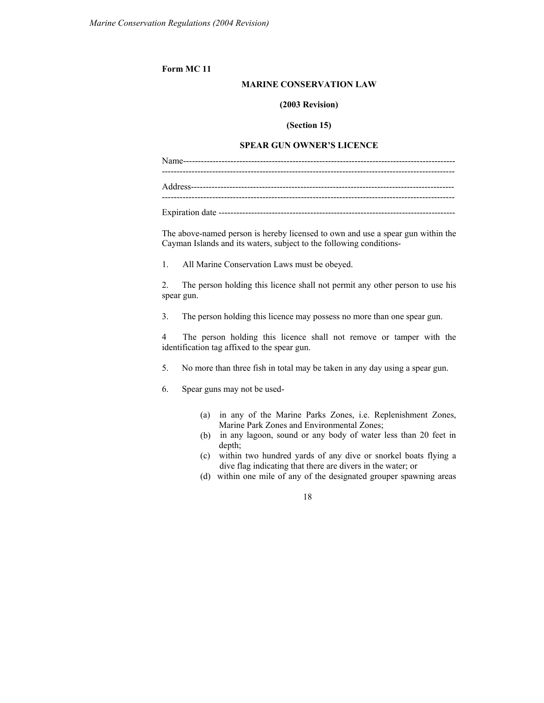#### **MARINE CONSERVATION LAW**

### **(2003 Revision)**

#### **(Section 15)**

#### **SPEAR GUN OWNER'S LICENCE**

The above-named person is hereby licensed to own and use a spear gun within the Cayman Islands and its waters, subject to the following conditions-

1. All Marine Conservation Laws must be obeyed.

2. The person holding this licence shall not permit any other person to use his spear gun.

3. The person holding this licence may possess no more than one spear gun.

4 The person holding this licence shall not remove or tamper with the identification tag affixed to the spear gun.

- 5. No more than three fish in total may be taken in any day using a spear gun.
- 6. Spear guns may not be used-
	- (a) in any of the Marine Parks Zones, i.e. Replenishment Zones, Marine Park Zones and Environmental Zones;
	- (b) in any lagoon, sound or any body of water less than 20 feet in depth;
	- (c) within two hundred yards of any dive or snorkel boats flying a dive flag indicating that there are divers in the water; or
	- (d) within one mile of any of the designated grouper spawning areas

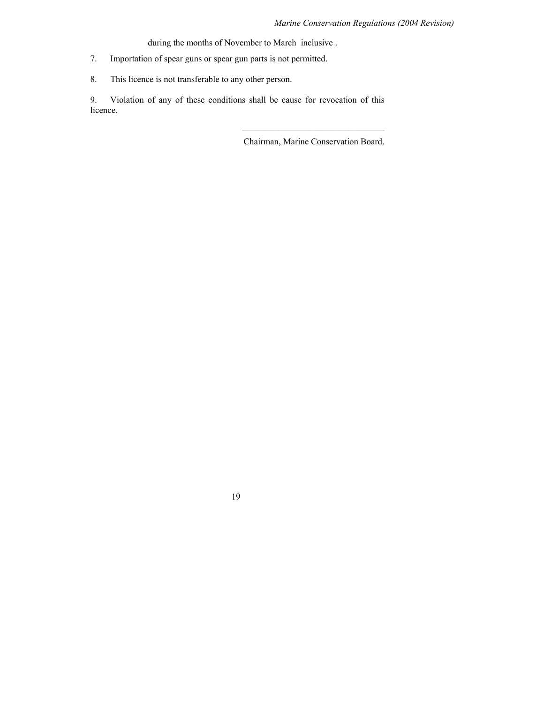during the months of November to March inclusive .

- 7. Importation of spear guns or spear gun parts is not permitted.
- 8. This licence is not transferable to any other person.

9. Violation of any of these conditions shall be cause for revocation of this licence.

Chairman, Marine Conservation Board.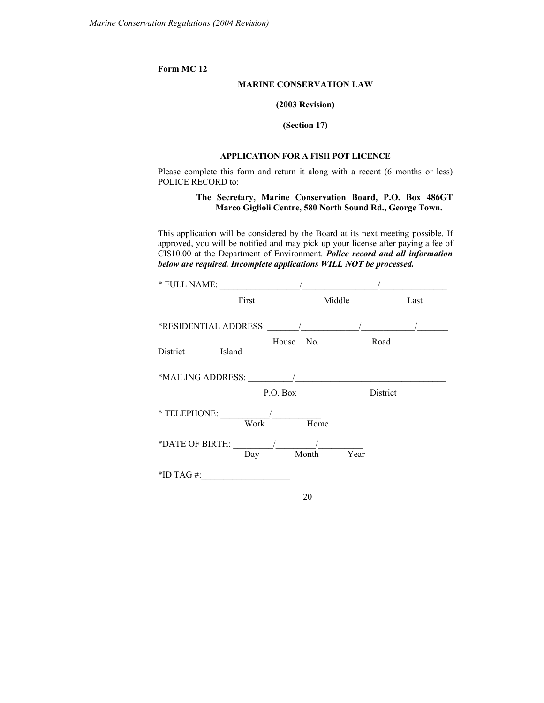### **MARINE CONSERVATION LAW**

### **(2003 Revision)**

### **(Section 17)**

### **APPLICATION FOR A FISH POT LICENCE**

Please complete this form and return it along with a recent (6 months or less) POLICE RECORD to:

### **The Secretary, Marine Conservation Board, P.O. Box 486GT Marco Giglioli Centre, 580 North Sound Rd., George Town.**

This application will be considered by the Board at its next meeting possible. If approved, you will be notified and may pick up your license after paying a fee of CI\$10.00 at the Department of Environment. *Police record and all information below are required. Incomplete applications WILL NOT be processed.*

| First                                                                                                                                                                                                                                                                                              |           | Middle              |          | Last |
|----------------------------------------------------------------------------------------------------------------------------------------------------------------------------------------------------------------------------------------------------------------------------------------------------|-----------|---------------------|----------|------|
| *RESIDENTIAL ADDRESS: $\frac{1}{2}$ / $\frac{1}{2}$ / $\frac{1}{2}$ / $\frac{1}{2}$ / $\frac{1}{2}$ / $\frac{1}{2}$ / $\frac{1}{2}$ / $\frac{1}{2}$ / $\frac{1}{2}$ / $\frac{1}{2}$ / $\frac{1}{2}$ / $\frac{1}{2}$ / $\frac{1}{2}$ / $\frac{1}{2}$ / $\frac{1}{2}$ / $\frac{1}{2}$ / $\frac{1}{2$ |           |                     |          |      |
| District Island                                                                                                                                                                                                                                                                                    | House No. |                     | Road     |      |
|                                                                                                                                                                                                                                                                                                    |           |                     |          |      |
|                                                                                                                                                                                                                                                                                                    | P.O. Box  |                     | District |      |
|                                                                                                                                                                                                                                                                                                    | Work Home |                     |          |      |
|                                                                                                                                                                                                                                                                                                    |           | $Day \t$ Month Year |          |      |
|                                                                                                                                                                                                                                                                                                    |           |                     |          |      |
|                                                                                                                                                                                                                                                                                                    | 20        |                     |          |      |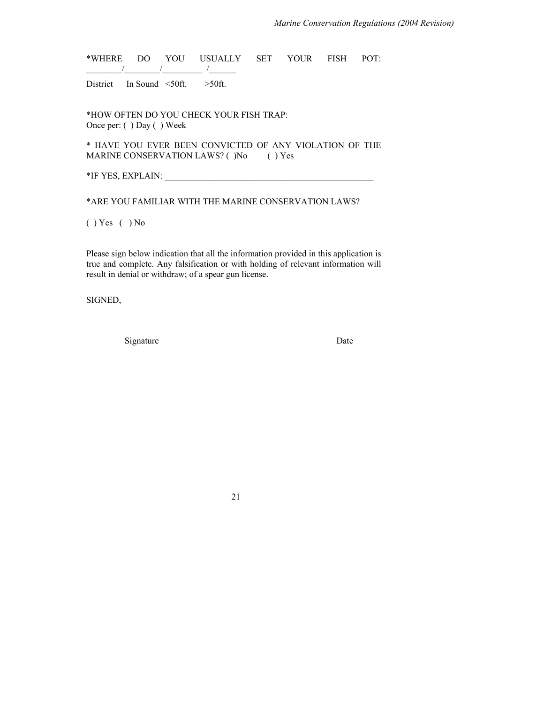\*WHERE DO YOU USUALLY SET YOUR FISH POT:  $\frac{1}{2}$ 

District In Sound <50ft. >50ft.

## \*HOW OFTEN DO YOU CHECK YOUR FISH TRAP: Once per: ( ) Day ( ) Week

\* HAVE YOU EVER BEEN CONVICTED OF ANY VIOLATION OF THE MARINE CONSERVATION LAWS? ( )No ( ) Yes

\*IF YES, EXPLAIN: \_\_\_\_\_\_\_\_\_\_\_\_\_\_\_\_\_\_\_\_\_\_\_\_\_\_\_\_\_\_\_\_\_\_\_\_\_\_\_\_\_\_\_\_\_\_\_

### \*ARE YOU FAMILIAR WITH THE MARINE CONSERVATION LAWS?

( ) Yes ( ) No

Please sign below indication that all the information provided in this application is true and complete. Any falsification or with holding of relevant information will result in denial or withdraw; of a spear gun license.

SIGNED,

Signature Date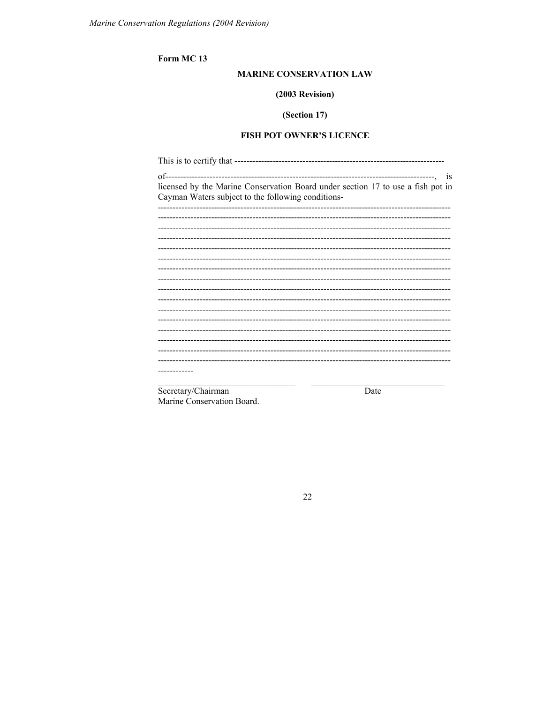## **MARINE CONSERVATION LAW**

## (2003 Revision)

## (Section 17)

## FISH POT OWNER'S LICENCE

| <i>is</i>                                                                                                                             |
|---------------------------------------------------------------------------------------------------------------------------------------|
| licensed by the Marine Conservation Board under section 17 to use a fish pot in<br>Cayman Waters subject to the following conditions- |
|                                                                                                                                       |
|                                                                                                                                       |
|                                                                                                                                       |
|                                                                                                                                       |
|                                                                                                                                       |
|                                                                                                                                       |
|                                                                                                                                       |
|                                                                                                                                       |
|                                                                                                                                       |
|                                                                                                                                       |
|                                                                                                                                       |
|                                                                                                                                       |
|                                                                                                                                       |

Secretary/Chairman Marine Conservation Board. Date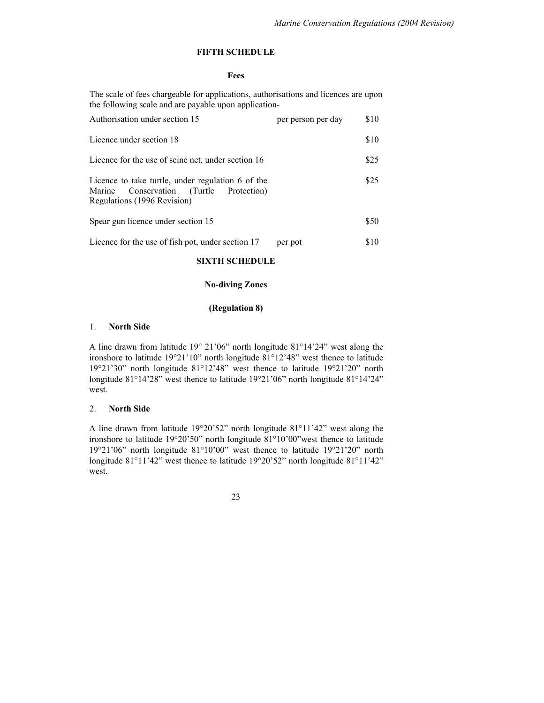### **FIFTH SCHEDULE**

#### **Fees**

The scale of fees chargeable for applications, authorisations and licences are upon the following scale and are payable upon application-

| per person per day | \$10 |
|--------------------|------|
|                    | \$10 |
|                    | \$25 |
|                    | \$25 |
|                    | \$50 |
| per pot            | \$10 |
|                    |      |

### **SIXTH SCHEDULE**

## **No-diving Zones**

### **(Regulation 8)**

## 1. **North Side**

A line drawn from latitude 19° 21'06" north longitude 81°14'24" west along the ironshore to latitude 19°21'10" north longitude 81°12'48" west thence to latitude 19°21'30" north longitude 81°12'48" west thence to latitude 19°21'20" north longitude 81°14'28" west thence to latitude 19°21'06" north longitude 81°14'24" west.

### 2. **North Side**

A line drawn from latitude 19°20'52" north longitude 81°11'42" west along the ironshore to latitude 19°20'50" north longitude 81°10'00"west thence to latitude 19°21'06" north longitude 81°10'00" west thence to latitude 19°21'20" north longitude 81°11'42" west thence to latitude 19°20'52" north longitude 81°11'42" west.